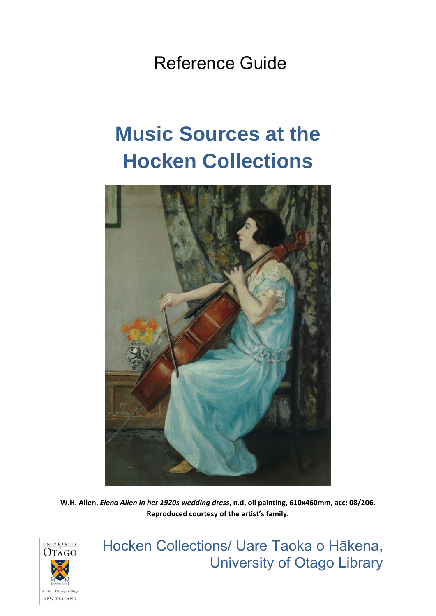Reference Guide

# **Music Sources at the Hocken Collections**



**W.H. Allen,** *Elena Allen in her 1920s wedding dress***, n.d, oil painting, 610x460mm, acc: 08/206. Reproduced courtesy of the artist's family.**



Hocken Collections/ Uare Taoka o Hākena, University of Otago Library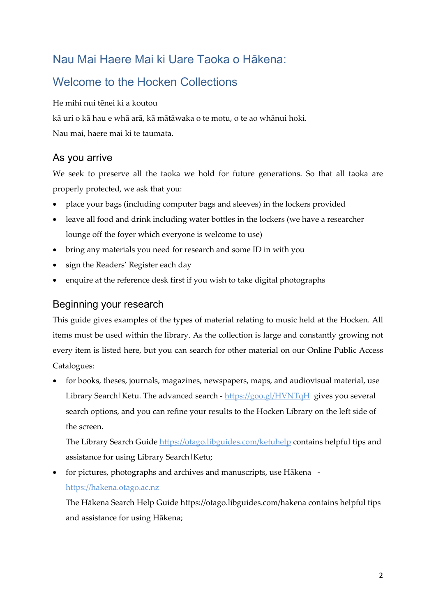### Nau Mai Haere Mai ki Uare Taoka o Hākena:

### Welcome to the Hocken Collections

He mihi nui tēnei ki a koutou

kā uri o kā hau e whā arā, kā mātāwaka o te motu, o te ao whānui hoki.

Nau mai, haere mai ki te taumata.

### As you arrive

We seek to preserve all the taoka we hold for future generations. So that all taoka are properly protected, we ask that you:

- place your bags (including computer bags and sleeves) in the lockers provided
- leave all food and drink including water bottles in the lockers (we have a researcher lounge off the foyer which everyone is welcome to use)
- bring any materials you need for research and some ID in with you
- sign the Readers' Register each day
- enquire at the reference desk first if you wish to take digital photographs

### Beginning your research

This guide gives examples of the types of material relating to music held at the Hocken. All items must be used within the library. As the collection is large and constantly growing not every item is listed here, but you can search for other material on our Online Public Access Catalogues:

 for books, theses, journals, magazines, newspapers, maps, and audiovisual material, use Library Search | Ketu. The advanced search - https://goo.gl/HVNTqH gives you several search options, and you can refine your results to the Hocken Library on the left side of the screen.

The Library Search Guide https://otago.libguides.com/ketuhelp contains helpful tips and assistance for using Library Search|Ketu;

• for pictures, photographs and archives and manuscripts, use Hākena https://hakena.otago.ac.nz

The Hākena Search Help Guide https://otago.libguides.com/hakena contains helpful tips and assistance for using Hākena;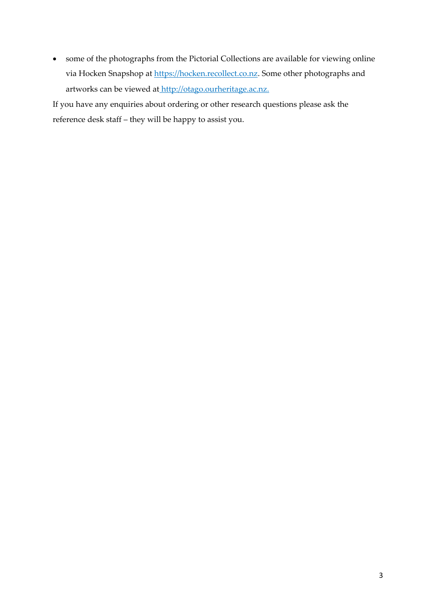some of the photographs from the Pictorial Collections are available for viewing online via Hocken Snapshop at https://hocken.recollect.co.nz. Some other photographs and artworks can be viewed at http://otago.ourheritage.ac.nz.

If you have any enquiries about ordering or other research questions please ask the reference desk staff – they will be happy to assist you.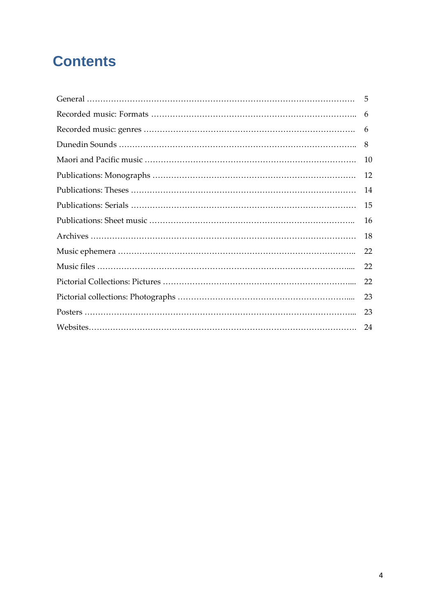# **Contents**

| -5 |
|----|
| 6  |
| 6  |
| 8  |
| 10 |
| 12 |
| 14 |
| 15 |
| 16 |
| 18 |
| 22 |
| 22 |
| 22 |
| 23 |
| 23 |
| 24 |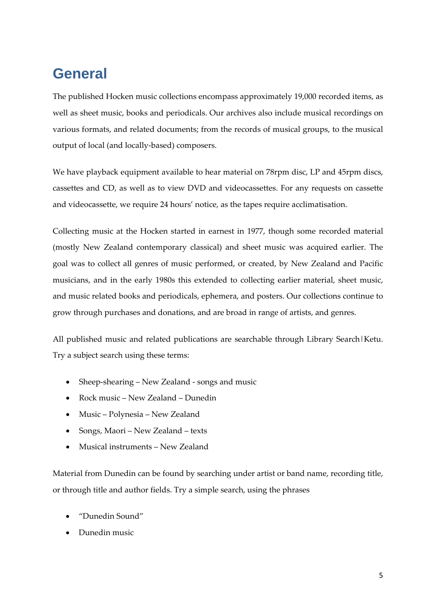# **General**

The published Hocken music collections encompass approximately 19,000 recorded items, as well as sheet music, books and periodicals. Our archives also include musical recordings on various formats, and related documents; from the records of musical groups, to the musical output of local (and locally‐based) composers.

We have playback equipment available to hear material on 78rpm disc, LP and 45rpm discs, cassettes and CD, as well as to view DVD and videocassettes. For any requests on cassette and videocassette, we require 24 hours' notice, as the tapes require acclimatisation.

Collecting music at the Hocken started in earnest in 1977, though some recorded material (mostly New Zealand contemporary classical) and sheet music was acquired earlier. The goal was to collect all genres of music performed, or created, by New Zealand and Pacific musicians, and in the early 1980s this extended to collecting earlier material, sheet music, and music related books and periodicals, ephemera, and posters. Our collections continue to grow through purchases and donations, and are broad in range of artists, and genres.

All published music and related publications are searchable through Library Search|Ketu. Try a subject search using these terms:

- Sheep-shearing New Zealand songs and music
- Rock music New Zealand Dunedin
- Music Polynesia New Zealand
- Songs, Maori New Zealand texts
- Musical instruments New Zealand

Material from Dunedin can be found by searching under artist or band name, recording title, or through title and author fields. Try a simple search, using the phrases

- "Dunedin Sound"
- Dunedin music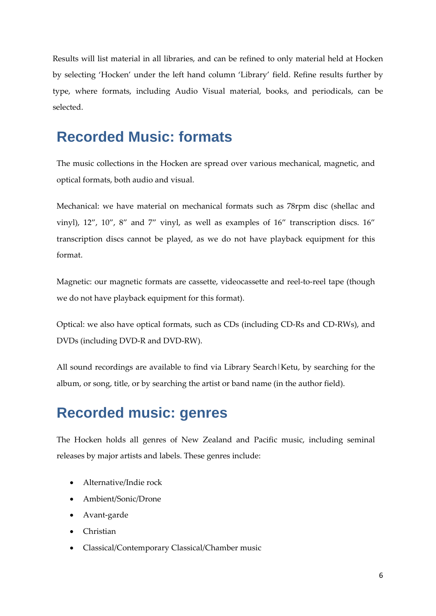Results will list material in all libraries, and can be refined to only material held at Hocken by selecting 'Hocken' under the left hand column 'Library' field. Refine results further by type, where formats, including Audio Visual material, books, and periodicals, can be selected.

### **Recorded Music: formats**

The music collections in the Hocken are spread over various mechanical, magnetic, and optical formats, both audio and visual.

Mechanical: we have material on mechanical formats such as 78rpm disc (shellac and vinyl), 12", 10", 8" and 7" vinyl, as well as examples of 16" transcription discs. 16" transcription discs cannot be played, as we do not have playback equipment for this format.

Magnetic: our magnetic formats are cassette, videocassette and reel-to-reel tape (though we do not have playback equipment for this format).

Optical: we also have optical formats, such as CDs (including CD‐Rs and CD‐RWs), and DVDs (including DVD‐R and DVD‐RW).

All sound recordings are available to find via Library Search|Ketu, by searching for the album, or song, title, or by searching the artist or band name (in the author field).

### **Recorded music: genres**

The Hocken holds all genres of New Zealand and Pacific music, including seminal releases by major artists and labels. These genres include:

- Alternative/Indie rock
- Ambient/Sonic/Drone
- Avant‐garde
- Christian
- Classical/Contemporary Classical/Chamber music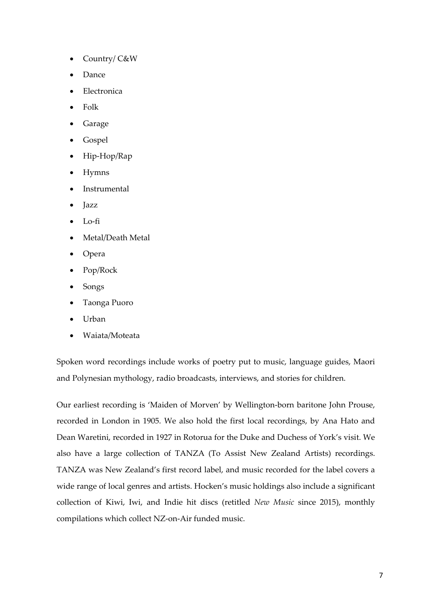- Country/ C&W
- Dance
- Electronica
- Folk
- Garage
- Gospel
- Hip‐Hop/Rap
- Hymns
- Instrumental
- Jazz
- Lo‐fi
- Metal/Death Metal
- Opera
- Pop/Rock
- Songs
- Taonga Puoro
- Urban
- Waiata/Moteata

Spoken word recordings include works of poetry put to music, language guides, Maori and Polynesian mythology, radio broadcasts, interviews, and stories for children.

Our earliest recording is 'Maiden of Morven' by Wellington‐born baritone John Prouse, recorded in London in 1905. We also hold the first local recordings, by Ana Hato and Dean Waretini, recorded in 1927 in Rotorua for the Duke and Duchess of York's visit. We also have a large collection of TANZA (To Assist New Zealand Artists) recordings. TANZA was New Zealand's first record label, and music recorded for the label covers a wide range of local genres and artists. Hocken's music holdings also include a significant collection of Kiwi, Iwi, and Indie hit discs (retitled *New Music* since 2015), monthly compilations which collect NZ‐on‐Air funded music.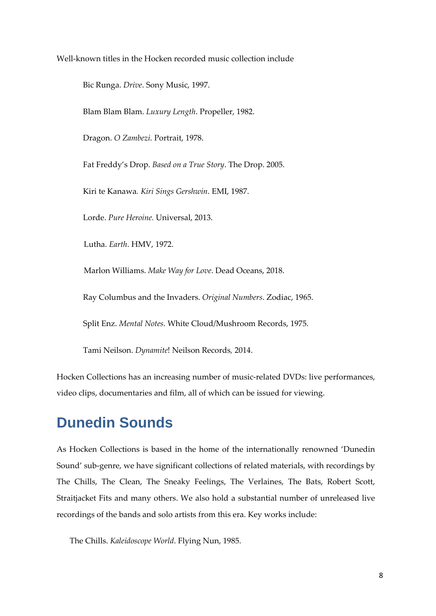Well-known titles in the Hocken recorded music collection include

Bic Runga. *Drive*. Sony Music, 1997.

Blam Blam Blam. *Luxury Length*. Propeller, 1982.

Dragon. *O Zambezi*. Portrait, 1978.

Fat Freddy's Drop. *Based on a True Story*. The Drop. 2005.

Kiri te Kanawa*. Kiri Sings Gershwin*. EMI, 1987.

Lorde. *Pure Heroine.* Universal, 2013.

Lutha. *Earth*. HMV, 1972.

Marlon Williams. *Make Way for Love*. Dead Oceans, 2018.

Ray Columbus and the Invaders. *Original Numbers*. Zodiac, 1965.

Split Enz. *Mental Notes*. White Cloud/Mushroom Records, 1975.

Tami Neilson. *Dynamite*! Neilson Records*,* 2014.

Hocken Collections has an increasing number of music-related DVDs: live performances, video clips, documentaries and film, all of which can be issued for viewing.

### **Dunedin Sounds**

As Hocken Collections is based in the home of the internationally renowned 'Dunedin Sound' sub‐genre, we have significant collections of related materials, with recordings by The Chills, The Clean, The Sneaky Feelings, The Verlaines, The Bats, Robert Scott, Straitjacket Fits and many others. We also hold a substantial number of unreleased live recordings of the bands and solo artists from this era. Key works include:

The Chills. *Kaleidoscope World*. Flying Nun, 1985.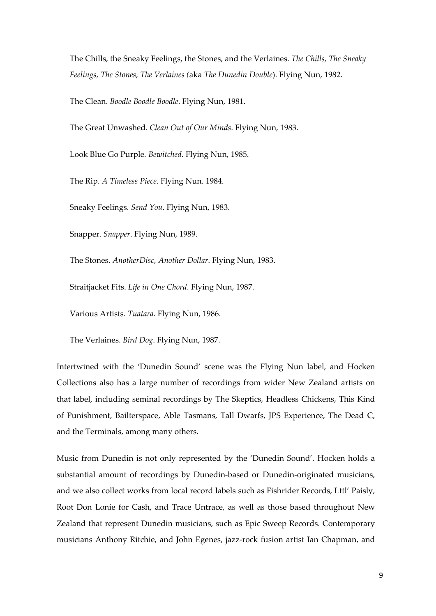The Chills, the Sneaky Feelings, the Stones, and the Verlaines. *The Chills, The Sneaky Feelings, The Stones, The Verlaines (*aka *The Dunedin Double*). Flying Nun, 1982.

The Clean. *Boodle Boodle Boodle*. Flying Nun, 1981.

The Great Unwashed. *Clean Out of Our Minds*. Flying Nun, 1983.

Look Blue Go Purple*. Bewitched*. Flying Nun, 1985.

The Rip. *A Timeless Piece*. Flying Nun. 1984.

Sneaky Feelings*. Send You*. Flying Nun, 1983.

Snapper. *Snapper*. Flying Nun, 1989.

The Stones. *AnotherDisc, Another Dollar*. Flying Nun, 1983.

Straitjacket Fits. *Life in One Chord*. Flying Nun, 1987.

Various Artists. *Tuatara*. Flying Nun, 1986.

The Verlaines. *Bird Dog*. Flying Nun, 1987.

Intertwined with the 'Dunedin Sound' scene was the Flying Nun label, and Hocken Collections also has a large number of recordings from wider New Zealand artists on that label, including seminal recordings by The Skeptics, Headless Chickens, This Kind of Punishment, Bailterspace, Able Tasmans, Tall Dwarfs, JPS Experience, The Dead C, and the Terminals, among many others.

Music from Dunedin is not only represented by the 'Dunedin Sound'. Hocken holds a substantial amount of recordings by Dunedin‐based or Dunedin‐originated musicians, and we also collect works from local record labels such as Fishrider Records, Lttl' Paisly, Root Don Lonie for Cash, and Trace Untrace, as well as those based throughout New Zealand that represent Dunedin musicians, such as Epic Sweep Records. Contemporary musicians Anthony Ritchie, and John Egenes, jazz-rock fusion artist Ian Chapman, and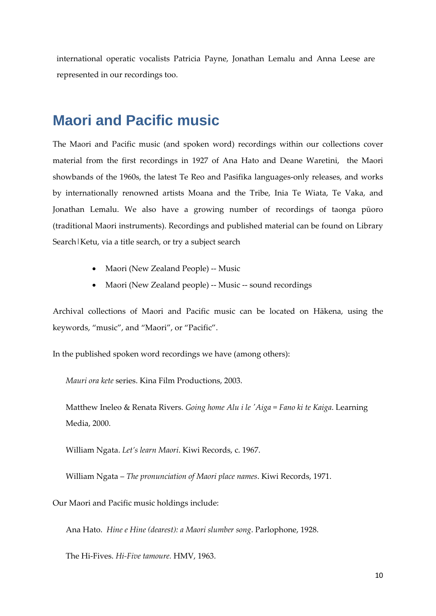international operatic vocalists Patricia Payne, Jonathan Lemalu and Anna Leese are represented in our recordings too.

### **Maori and Pacific music**

The Maori and Pacific music (and spoken word) recordings within our collections cover material from the first recordings in 1927 of Ana Hato and Deane Waretini, the Maori showbands of the 1960s, the latest Te Reo and Pasifika languages‐only releases, and works by internationally renowned artists Moana and the Tribe, Inia Te Wiata, Te Vaka, and Jonathan Lemalu. We also have a growing number of recordings of taonga pūoro (traditional Maori instruments). Recordings and published material can be found on Library Search | Ketu, via a title search, or try a subject search

- Maori (New Zealand People) -- Music
- Maori (New Zealand people) ‐‐ Music ‐‐ sound recordings

Archival collections of Maori and Pacific music can be located on Hākena, using the keywords, "music", and "Maori", or "Pacific".

In the published spoken word recordings we have (among others):

*Mauri ora kete* series. Kina Film Productions, 2003.

Matthew Ineleo & Renata Rivers. *Going home Alu i le ʹAiga = Fano ki te Kaiga*. Learning Media, 2000.

William Ngata. *Let's learn Maori*. Kiwi Records, c. 1967.

William Ngata – *The pronunciation of Maori place names*. Kiwi Records, 1971.

Our Maori and Pacific music holdings include:

Ana Hato. *Hine e Hine (dearest): a Maori slumber song*. Parlophone, 1928.

The Hi‐Fives. *Hi‐Five tamoure.* HMV, 1963.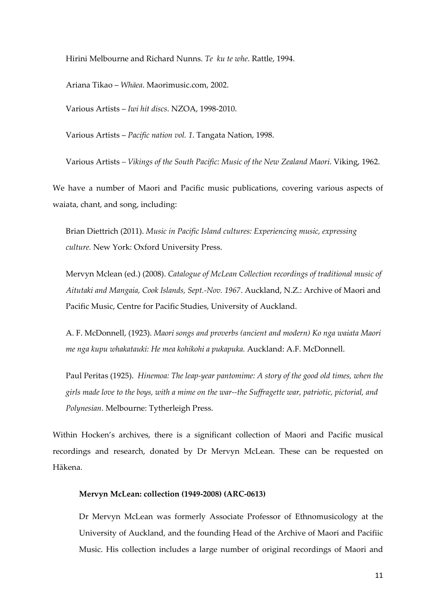Hirini Melbourne and Richard Nunns. *Te ku te whe*. Rattle, 1994.

Ariana Tikao – *Whāea*. Maorimusic.com, 2002.

Various Artists – *Iwi hit discs*. NZOA, 1998‐2010.

Various Artists – *Pacific nation vol. 1*. Tangata Nation, 1998.

Various Artists *– Vikings of the South Pacific: Music of the New Zealand Maori*. Viking, 1962.

We have a number of Maori and Pacific music publications, covering various aspects of waiata, chant, and song, including:

Brian Diettrich (2011). *Music in Pacific Island cultures: Experiencing music, expressing culture.* New York: Oxford University Press.

Mervyn Mclean (ed.) (2008). *Catalogue of McLean Collection recordings of traditional music of Aitutaki and Mangaia, Cook Islands, Sept.‐Nov. 1967*. Auckland, N.Z.: Archive of Maori and Pacific Music, Centre for Pacific Studies, University of Auckland.

A. F. McDonnell, (1923). *Maori songs and proverbs (ancient and modern) Ko nga waiata Maori me nga kupu whakatauki: He mea kohikohi a pukapuka.* Auckland: A.F. McDonnell.

Paul Peritas (1925). *Hinemoa: The leap‐year pantomime: A story of the good old times, when the* girls made love to the boys, with a mime on the war--the Suffragette war, patriotic, pictorial, and *Polynesian*. Melbourne: Tytherleigh Press.

Within Hocken's archives, there is a significant collection of Maori and Pacific musical recordings and research, donated by Dr Mervyn McLean. These can be requested on Hākena.

#### **Mervyn McLean: collection (1949‐2008) (ARC‐0613)**

Dr Mervyn McLean was formerly Associate Professor of Ethnomusicology at the University of Auckland, and the founding Head of the Archive of Maori and Pacifiic Music. His collection includes a large number of original recordings of Maori and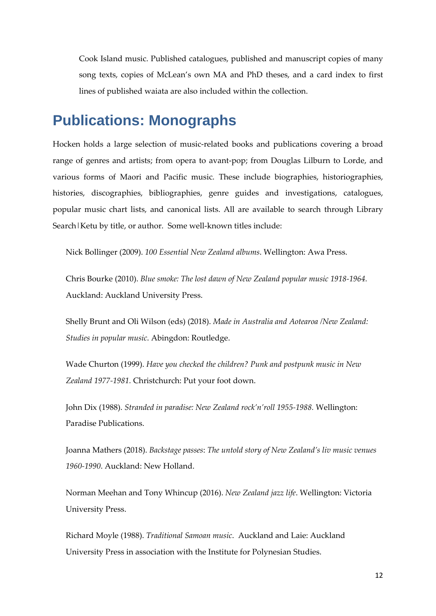Cook Island music. Published catalogues, published and manuscript copies of many song texts, copies of McLean's own MA and PhD theses, and a card index to first lines of published waiata are also included within the collection.

### **Publications: Monographs**

Hocken holds a large selection of music‐related books and publications covering a broad range of genres and artists; from opera to avant‐pop; from Douglas Lilburn to Lorde, and various forms of Maori and Pacific music. These include biographies, historiographies, histories, discographies, bibliographies, genre guides and investigations, catalogues, popular music chart lists, and canonical lists. All are available to search through Library Search | Ketu by title, or author. Some well-known titles include:

Nick Bollinger (2009). *100 Essential New Zealand albums*. Wellington: Awa Press.

Chris Bourke (2010). *Blue smoke: The lost dawn of New Zealand popular music 1918‐1964.* Auckland: Auckland University Press.

Shelly Brunt and Oli Wilson (eds) (2018). *Made in Australia and Aotearoa /New Zealand: Studies in popular music*. Abingdon: Routledge.

Wade Churton (1999). *Have you checked the children? Punk and postpunk music in New Zealand 1977‐1981.* Christchurch: Put your foot down.

John Dix (1988). *Stranded in paradise: New Zealand rock'n'roll 1955‐1988.* Wellington: Paradise Publications.

Joanna Mathers (2018). *Backstage passes*: *The untold story of New Zealand's liv music venues 1960‐1990*. Auckland: New Holland.

Norman Meehan and Tony Whincup (2016). *New Zealand jazz life*. Wellington: Victoria University Press.

Richard Moyle (1988). *Traditional Samoan music*. Auckland and Laie: Auckland University Press in association with the Institute for Polynesian Studies.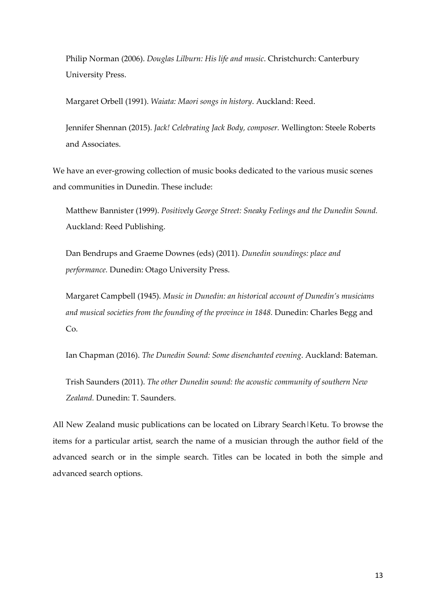Philip Norman (2006). *Douglas Lilburn: His life and music*. Christchurch: Canterbury University Press.

Margaret Orbell (1991). *Waiata: Maori songs in history*. Auckland: Reed.

Jennifer Shennan (2015). *Jack! Celebrating Jack Body, composer.* Wellington: Steele Roberts and Associates.

We have an ever-growing collection of music books dedicated to the various music scenes and communities in Dunedin. These include:

Matthew Bannister (1999). *Positively George Street: Sneaky Feelings and the Dunedin Sound.* Auckland: Reed Publishing.

Dan Bendrups and Graeme Downes (eds) (2011). *Dunedin soundings: place and performance.* Dunedin: Otago University Press.

Margaret Campbell (1945). *Music in Dunedin: an historical account of Dunedin's musicians and musical societies from the founding of the province in 1848.* Dunedin: Charles Begg and Co.

Ian Chapman (2016). *The Dunedin Sound: Some disenchanted evening*. Auckland: Bateman.

Trish Saunders (2011). *The other Dunedin sound: the acoustic community of southern New Zealand.* Dunedin: T. Saunders.

All New Zealand music publications can be located on Library Search|Ketu. To browse the items for a particular artist, search the name of a musician through the author field of the advanced search or in the simple search. Titles can be located in both the simple and advanced search options.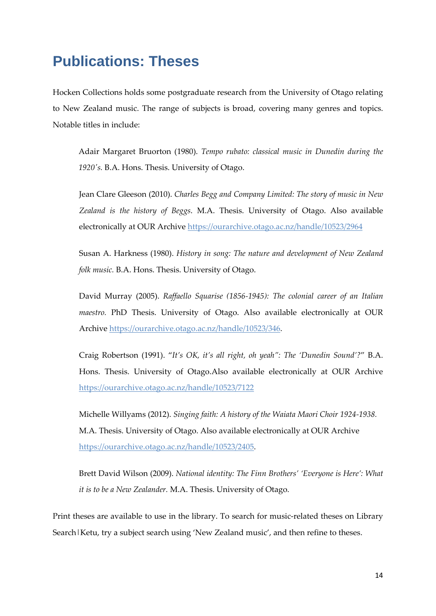# **Publications: Theses**

Hocken Collections holds some postgraduate research from the University of Otago relating to New Zealand music. The range of subjects is broad, covering many genres and topics. Notable titles in include:

Adair Margaret Bruorton (1980). *Tempo rubato: classical music in Dunedin during the 1920ʹs.* B.A. Hons. Thesis. University of Otago.

Jean Clare Gleeson (2010). *Charles Begg and Company Limited: The story of music in New Zealand is the history of Beggs*. M.A. Thesis. University of Otago. Also available electronically at OUR Archive https://ourarchive.otago.ac.nz/handle/10523/2964

Susan A. Harkness (1980). *History in song: The nature and development of New Zealand folk music.* B.A. Hons. Thesis. University of Otago.

David Murray (2005). *Raffaello Squarise (1856‐1945): The colonial career of an Italian maestro.* PhD Thesis. University of Otago. Also available electronically at OUR Archive https://ourarchive.otago.ac.nz/handle/10523/346.

Craig Robertson (1991). "*It's OK, it's all right, oh yeah": The 'Dunedin Sound'?*" B.A. Hons. Thesis. University of Otago.Also available electronically at OUR Archive https://ourarchive.otago.ac.nz/handle/10523/7122

Michelle Willyams (2012). *Singing faith: A history of the Waiata Maori Choir 1924‐1938.* M.A. Thesis. University of Otago. Also available electronically at OUR Archive https://ourarchive.otago.ac.nz/handle/10523/2405.

Brett David Wilson (2009). *National identity: The Finn Brothers' 'Everyone is Here': What it is to be a New Zealander.* M.A. Thesis. University of Otago.

Print theses are available to use in the library. To search for music-related theses on Library Search | Ketu, try a subject search using 'New Zealand music', and then refine to theses.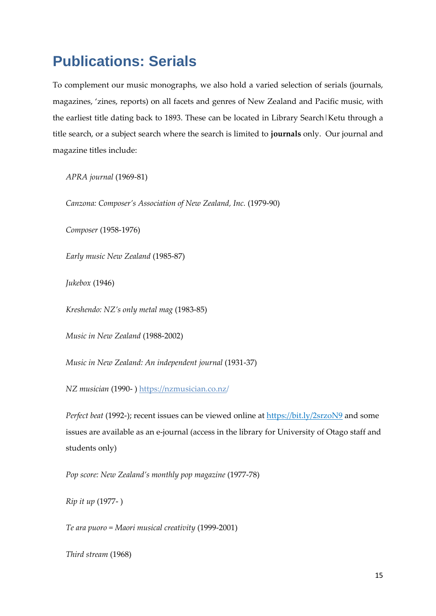# **Publications: Serials**

To complement our music monographs, we also hold a varied selection of serials (journals, magazines, 'zines, reports) on all facets and genres of New Zealand and Pacific music, with the earliest title dating back to 1893. These can be located in Library Search|Ketu through a title search, or a subject search where the search is limited to **journals** only. Our journal and magazine titles include:

*APRA journal* (1969‐81)

*Canzona: Composer's Association of New Zealand, Inc.* (1979‐90)

*Composer* (1958‐1976)

*Early music New Zealand* (1985‐87)

*Jukebox* (1946)

*Kreshendo: NZ's only metal mag* (1983‐85)

*Music in New Zealand* (1988‐2002)

*Music in New Zealand: An independent journal* (1931‐37)

*NZ musician* (1990‐ ) https://nzmusician.co.nz/

*Perfect beat* (1992-); recent issues can be viewed online at https://bit.ly/2srzoN9 and some issues are available as an e‐journal (access in the library for University of Otago staff and students only)

*Pop score: New Zealand's monthly pop magazine* (1977‐78)

*Rip it up* (1977‐ )

*Te ara puoro = Maori musical creativity* (1999‐2001)

*Third stream* (1968)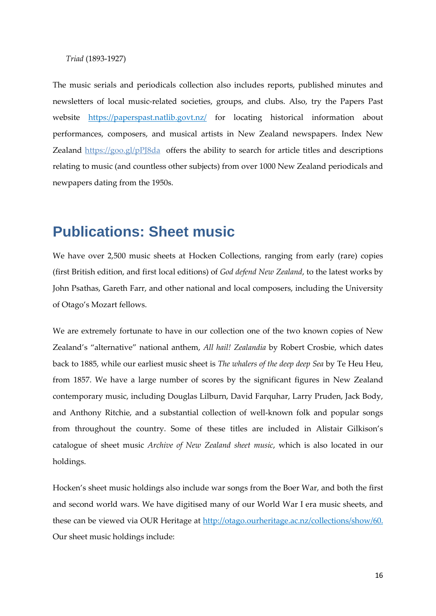#### *Triad* (1893‐1927)

The music serials and periodicals collection also includes reports, published minutes and newsletters of local music‐related societies, groups, and clubs. Also, try the Papers Past website https://paperspast.natlib.govt.nz/ for locating historical information about performances, composers, and musical artists in New Zealand newspapers. Index New Zealand https://goo.gl/pPJ8da offers the ability to search for article titles and descriptions relating to music (and countless other subjects) from over 1000 New Zealand periodicals and newpapers dating from the 1950s.

### **Publications: Sheet music**

We have over 2,500 music sheets at Hocken Collections, ranging from early (rare) copies (first British edition, and first local editions) of *God defend New Zealand*, to the latest works by John Psathas, Gareth Farr, and other national and local composers, including the University of Otago's Mozart fellows.

We are extremely fortunate to have in our collection one of the two known copies of New Zealand's "alternative" national anthem, *All hail! Zealandia* by Robert Crosbie, which dates back to 1885, while our earliest music sheet is *The whalers of the deep deep Sea* by Te Heu Heu, from 1857. We have a large number of scores by the significant figures in New Zealand contemporary music, including Douglas Lilburn, David Farquhar, Larry Pruden, Jack Body, and Anthony Ritchie, and a substantial collection of well‐known folk and popular songs from throughout the country. Some of these titles are included in Alistair Gilkison's catalogue of sheet music *Archive of New Zealand sheet music*, which is also located in our holdings.

Hocken's sheet music holdings also include war songs from the Boer War, and both the first and second world wars. We have digitised many of our World War I era music sheets, and these can be viewed via OUR Heritage at http://otago.ourheritage.ac.nz/collections/show/60. Our sheet music holdings include: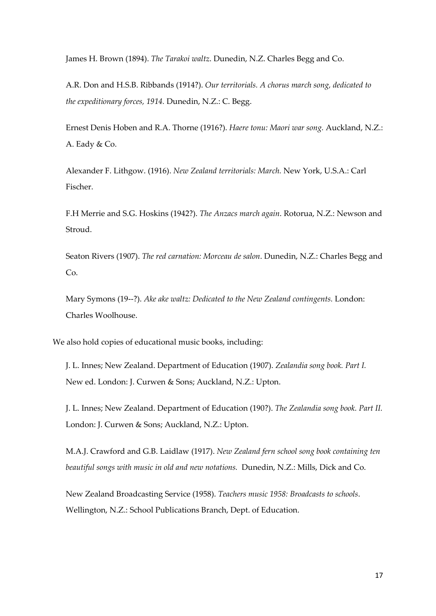James H. Brown (1894). *The Tarakoi waltz*. Dunedin, N.Z. Charles Begg and Co.

A.R. Don and H.S.B. Ribbands (1914?). *Our territorials. A chorus march song, dedicated to the expeditionary forces, 1914.* Dunedin, N.Z.: C. Begg.

Ernest Denis Hoben and R.A. Thorne (1916?). *Haere tonu: Maori war song.* Auckland, N.Z.: A. Eady & Co.

Alexander F. Lithgow. (1916). *New Zealand territorials: March.* New York, U.S.A.: Carl Fischer.

F.H Merrie and S.G. Hoskins (1942?). *The Anzacs march again*. Rotorua, N.Z.: Newson and Stroud.

Seaton Rivers (1907). *The red carnation: Morceau de salon*. Dunedin, N.Z.: Charles Begg and Co.

Mary Symons (19‐‐?). *Ake ake waltz: Dedicated to the New Zealand contingents.* London: Charles Woolhouse.

We also hold copies of educational music books, including:

J. L. Innes; New Zealand. Department of Education (1907). *Zealandia song book. Part I.* New ed. London: J. Curwen & Sons; Auckland, N.Z.: Upton.

J. L. Innes; New Zealand. Department of Education (190?). *The Zealandia song book. Part II.* London: J. Curwen & Sons; Auckland, N.Z.: Upton.

M.A.J. Crawford and G.B. Laidlaw (1917). *New Zealand fern school song book containing ten beautiful songs with music in old and new notations.* Dunedin, N.Z.: Mills, Dick and Co.

New Zealand Broadcasting Service (1958). *Teachers music 1958: Broadcasts to schools*. Wellington, N.Z.: School Publications Branch, Dept. of Education.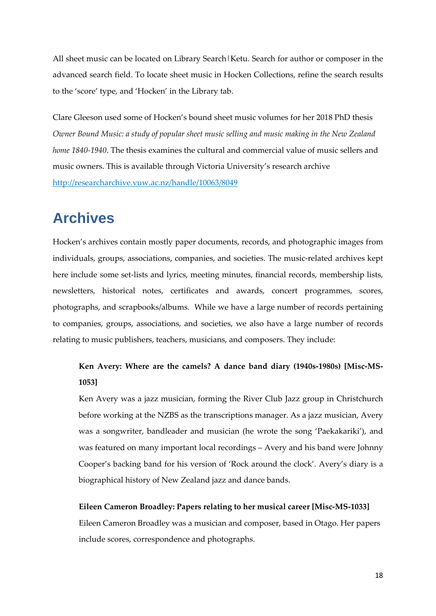All sheet music can be located on Library Search | Ketu. Search for author or composer in the advanced search field. To locate sheet music in Hocken Collections, refine the search results to the 'score' type, and 'Hocken' in the Library tab.

Clare Gleeson used some of Hocken's bound sheet music volumes for her 2018 PhD thesis *Owner Bound Music: a study of popular sheet music selling and music making in the New Zealand home 1840‐1940*. The thesis examines the cultural and commercial value of music sellers and music owners. This is available through Victoria University's research archive http://researcharchive.vuw.ac.nz/handle/10063/8049

# **Archives**

Hocken's archives contain mostly paper documents, records, and photographic images from individuals, groups, associations, companies, and societies. The music‐related archives kept here include some set-lists and lyrics, meeting minutes, financial records, membership lists, newsletters, historical notes, certificates and awards, concert programmes, scores, photographs, and scrapbooks/albums. While we have a large number of records pertaining to companies, groups, associations, and societies, we also have a large number of records relating to music publishers, teachers, musicians, and composers. They include:

### **Ken Avery: Where are the camels? A dance band diary (1940s‐1980s) [Misc‐MS‐ 1053]**

Ken Avery was a jazz musician, forming the River Club Jazz group in Christchurch before working at the NZBS as the transcriptions manager. As a jazz musician, Avery was a songwriter, bandleader and musician (he wrote the song 'Paekakariki'), and was featured on many important local recordings – Avery and his band were Johnny Cooper's backing band for his version of 'Rock around the clock'. Avery's diary is a biographical history of New Zealand jazz and dance bands.

#### **Eileen Cameron Broadley: Papers relating to her musical career [Misc‐MS‐1033]**

Eileen Cameron Broadley was a musician and composer, based in Otago. Her papers include scores, correspondence and photographs.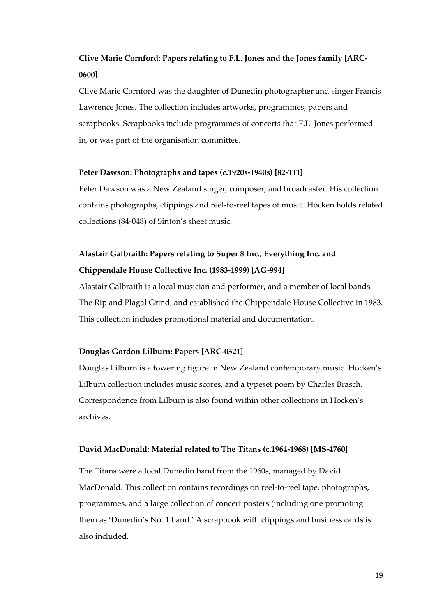### **Clive Marie Cornford: Papers relating to F.L. Jones and the Jones family [ARC‐ 0600]**

Clive Marie Cornford was the daughter of Dunedin photographer and singer Francis Lawrence Jones. The collection includes artworks, programmes, papers and scrapbooks. Scrapbooks include programmes of concerts that F.L. Jones performed in, or was part of the organisation committee.

#### **Peter Dawson: Photographs and tapes (c.1920s‐1940s) [82‐111]**

Peter Dawson was a New Zealand singer, composer, and broadcaster. His collection contains photographs, clippings and reel‐to‐reel tapes of music. Hocken holds related collections (84‐048) of Sinton's sheet music.

### **Alastair Galbraith: Papers relating to Super 8 Inc., Everything Inc. and Chippendale House Collective Inc. (1983‐1999) [AG‐994]**

Alastair Galbraith is a local musician and performer, and a member of local bands The Rip and Plagal Grind, and established the Chippendale House Collective in 1983. This collection includes promotional material and documentation.

#### **Douglas Gordon Lilburn: Papers [ARC‐0521]**

Douglas Lilburn is a towering figure in New Zealand contemporary music. Hocken's Lilburn collection includes music scores, and a typeset poem by Charles Brasch. Correspondence from Lilburn is also found within other collections in Hocken's archives.

#### **David MacDonald: Material related to The Titans (c.1964‐1968) [MS‐4760]**

The Titans were a local Dunedin band from the 1960s, managed by David MacDonald. This collection contains recordings on reel-to-reel tape, photographs, programmes, and a large collection of concert posters (including one promoting them as 'Dunedin's No. 1 band.' A scrapbook with clippings and business cards is also included.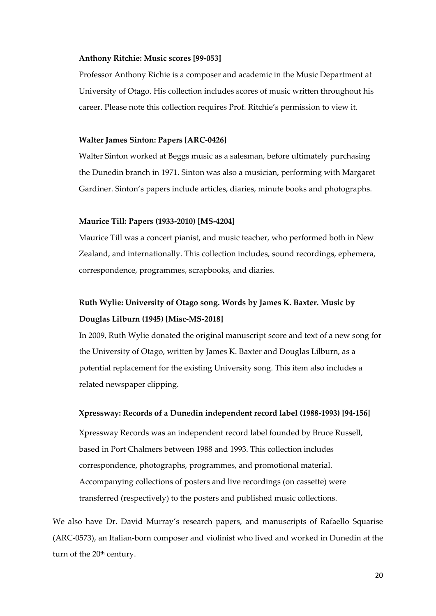#### **Anthony Ritchie: Music scores [99‐053]**

Professor Anthony Richie is a composer and academic in the Music Department at University of Otago. His collection includes scores of music written throughout his career. Please note this collection requires Prof. Ritchie's permission to view it.

#### **Walter James Sinton: Papers [ARC‐0426]**

Walter Sinton worked at Beggs music as a salesman, before ultimately purchasing the Dunedin branch in 1971. Sinton was also a musician, performing with Margaret Gardiner. Sinton's papers include articles, diaries, minute books and photographs.

#### **Maurice Till: Papers (1933‐2010) [MS‐4204]**

Maurice Till was a concert pianist, and music teacher, who performed both in New Zealand, and internationally. This collection includes, sound recordings, ephemera, correspondence, programmes, scrapbooks, and diaries.

### **Ruth Wylie: University of Otago song. Words by James K. Baxter. Music by Douglas Lilburn (1945) [Misc‐MS‐2018]**

In 2009, Ruth Wylie donated the original manuscript score and text of a new song for the University of Otago, written by James K. Baxter and Douglas Lilburn, as a potential replacement for the existing University song. This item also includes a related newspaper clipping.

#### **Xpressway: Records of a Dunedin independent record label (1988‐1993) [94‐156]**

Xpressway Records was an independent record label founded by Bruce Russell, based in Port Chalmers between 1988 and 1993. This collection includes correspondence, photographs, programmes, and promotional material. Accompanying collections of posters and live recordings (on cassette) were transferred (respectively) to the posters and published music collections.

We also have Dr. David Murray's research papers, and manuscripts of Rafaello Squarise (ARC‐0573), an Italian‐born composer and violinist who lived and worked in Dunedin at the turn of the 20<sup>th</sup> century.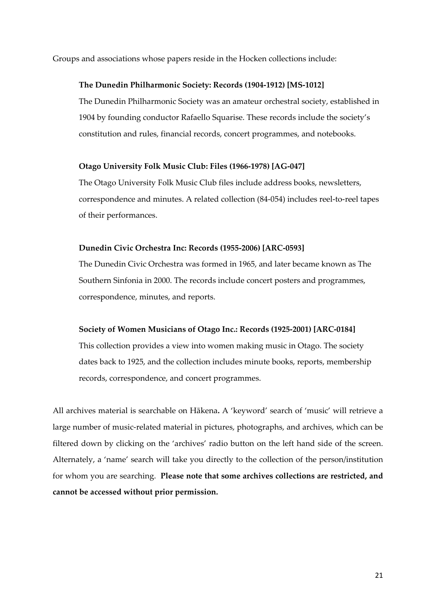Groups and associations whose papers reside in the Hocken collections include:

#### **The Dunedin Philharmonic Society: Records (1904‐1912) [MS‐1012]**

The Dunedin Philharmonic Society was an amateur orchestral society, established in 1904 by founding conductor Rafaello Squarise. These records include the society's constitution and rules, financial records, concert programmes, and notebooks.

#### **Otago University Folk Music Club: Files (1966‐1978) [AG‐047]**

The Otago University Folk Music Club files include address books, newsletters, correspondence and minutes. A related collection (84‐054) includes reel‐to‐reel tapes of their performances.

#### **Dunedin Civic Orchestra Inc: Records (1955‐2006) [ARC‐0593]**

The Dunedin Civic Orchestra was formed in 1965, and later became known as The Southern Sinfonia in 2000. The records include concert posters and programmes, correspondence, minutes, and reports.

#### **Society of Women Musicians of Otago Inc.: Records (1925‐2001) [ARC‐0184]**

This collection provides a view into women making music in Otago. The society dates back to 1925, and the collection includes minute books, reports, membership records, correspondence, and concert programmes.

All archives material is searchable on Hākena**.** A 'keyword' search of 'music' will retrieve a large number of music‐related material in pictures, photographs, and archives, which can be filtered down by clicking on the 'archives' radio button on the left hand side of the screen. Alternately, a 'name' search will take you directly to the collection of the person/institution for whom you are searching. **Please note that some archives collections are restricted, and cannot be accessed without prior permission.**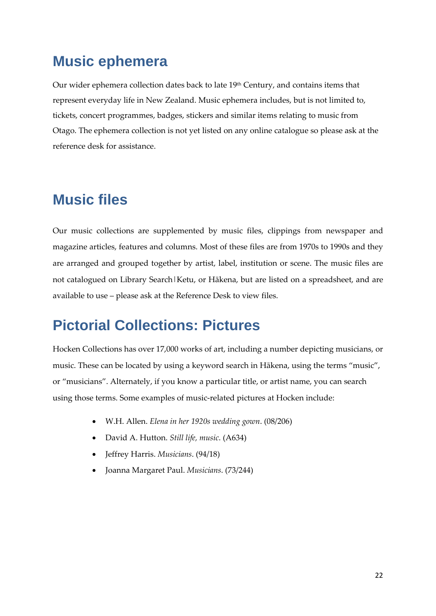# **Music ephemera**

Our wider ephemera collection dates back to late 19th Century, and contains items that represent everyday life in New Zealand. Music ephemera includes, but is not limited to, tickets, concert programmes, badges, stickers and similar items relating to music from Otago. The ephemera collection is not yet listed on any online catalogue so please ask at the reference desk for assistance.

# **Music files**

Our music collections are supplemented by music files, clippings from newspaper and magazine articles, features and columns. Most of these files are from 1970s to 1990s and they are arranged and grouped together by artist, label, institution or scene. The music files are not catalogued on Library Search|Ketu, or Hākena, but are listed on a spreadsheet, and are available to use – please ask at the Reference Desk to view files.

# **Pictorial Collections: Pictures**

Hocken Collections has over 17,000 works of art, including a number depicting musicians, or music. These can be located by using a keyword search in Hākena, using the terms "music", or "musicians". Alternately, if you know a particular title, or artist name, you can search using those terms. Some examples of music‐related pictures at Hocken include:

- W.H. Allen. *Elena in her 1920s wedding gown*. (08/206)
- David A. Hutton. *Still life, music*. (A634)
- Jeffrey Harris. *Musicians*. (94/18)
- Joanna Margaret Paul. *Musicians*. (73/244)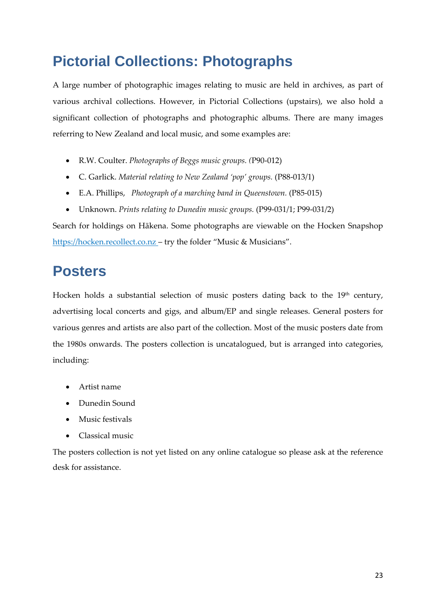# **Pictorial Collections: Photographs**

A large number of photographic images relating to music are held in archives, as part of various archival collections. However, in Pictorial Collections (upstairs), we also hold a significant collection of photographs and photographic albums. There are many images referring to New Zealand and local music, and some examples are:

- R.W. Coulter. *Photographs of Beggs music groups. (*P90‐012)
- C. Garlick. *Material relating to New Zealand 'pop' groups.* (P88‐013/1)
- E.A. Phillips, *Photograph of a marching band in Queenstown.* (P85‐015)
- Unknown. *Prints relating to Dunedin music groups.* (P99‐031/1; P99‐031/2)

Search for holdings on Hākena. Some photographs are viewable on the Hocken Snapshop https://hocken.recollect.co.nz – try the folder "Music & Musicians".

# **Posters**

Hocken holds a substantial selection of music posters dating back to the  $19<sup>th</sup>$  century, advertising local concerts and gigs, and album/EP and single releases. General posters for various genres and artists are also part of the collection. Most of the music posters date from the 1980s onwards. The posters collection is uncatalogued, but is arranged into categories, including:

- Artist name
- Dunedin Sound
- Music festivals
- Classical music

The posters collection is not yet listed on any online catalogue so please ask at the reference desk for assistance.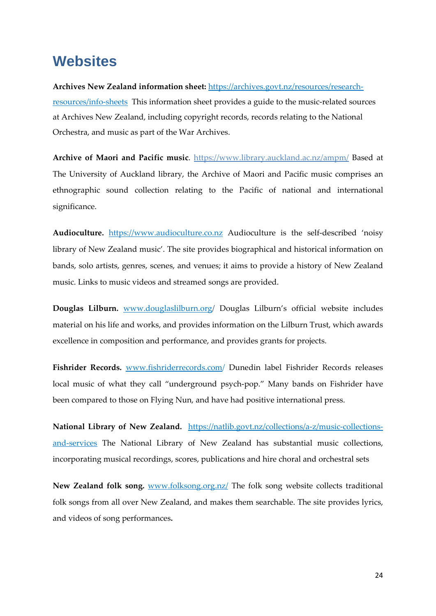### **Websites**

**Archives New Zealand information sheet:** https://archives.govt.nz/resources/research‐ resources/info-sheets This information sheet provides a guide to the music-related sources at Archives New Zealand, including copyright records, records relating to the National Orchestra, and music as part of the War Archives.

**Archive of Maori and Pacific music**. https://www.library.auckland.ac.nz/ampm/ Based at The University of Auckland library, the Archive of Maori and Pacific music comprises an ethnographic sound collection relating to the Pacific of national and international significance.

Audioculture. https://www.audioculture.co.nz Audioculture is the self-described 'noisy library of New Zealand music'. The site provides biographical and historical information on bands, solo artists, genres, scenes, and venues; it aims to provide a history of New Zealand music. Links to music videos and streamed songs are provided.

**Douglas Lilburn.** www.douglaslilburn.org/ Douglas Lilburn's official website includes material on his life and works, and provides information on the Lilburn Trust, which awards excellence in composition and performance, and provides grants for projects.

**Fishrider Records.** www.fishriderrecords.com/ Dunedin label Fishrider Records releases local music of what they call "underground psych‐pop." Many bands on Fishrider have been compared to those on Flying Nun, and have had positive international press.

**National Library of New Zealand.** https://natlib.govt.nz/collections/a‐z/music‐collections‐ and‐services The National Library of New Zealand has substantial music collections, incorporating musical recordings, scores, publications and hire choral and orchestral sets

**New Zealand folk song.** www.folksong.org.nz/ The folk song website collects traditional folk songs from all over New Zealand, and makes them searchable. The site provides lyrics, and videos of song performances**.**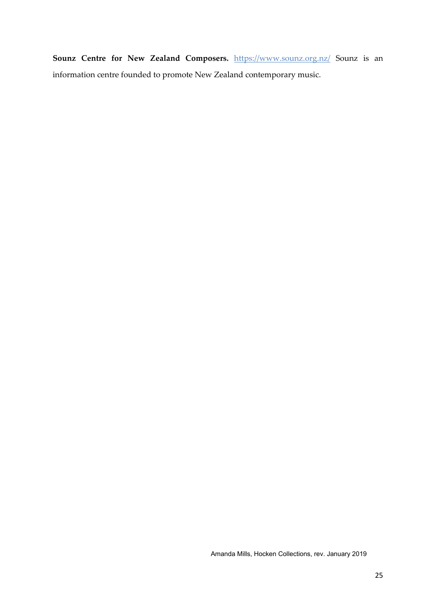**Sounz Centre for New Zealand Composers.** https://www.sounz.org.nz/ Sounz is an information centre founded to promote New Zealand contemporary music.